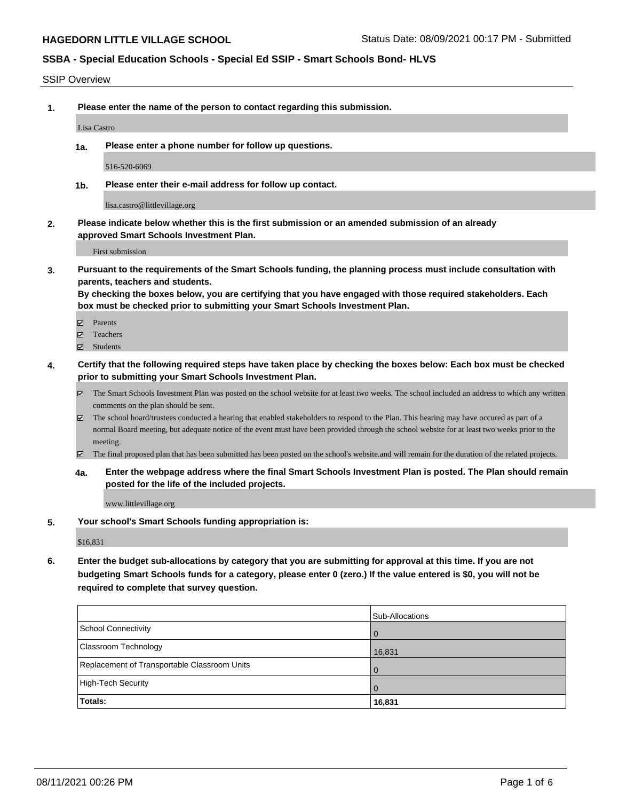#### SSIP Overview

**1. Please enter the name of the person to contact regarding this submission.**

Lisa Castro

**1a. Please enter a phone number for follow up questions.**

516-520-6069

**1b. Please enter their e-mail address for follow up contact.**

lisa.castro@littlevillage.org

**2. Please indicate below whether this is the first submission or an amended submission of an already approved Smart Schools Investment Plan.**

First submission

**3. Pursuant to the requirements of the Smart Schools funding, the planning process must include consultation with parents, teachers and students.**

**By checking the boxes below, you are certifying that you have engaged with those required stakeholders. Each box must be checked prior to submitting your Smart Schools Investment Plan.**

- Parents
- Teachers
- Students
- **4. Certify that the following required steps have taken place by checking the boxes below: Each box must be checked prior to submitting your Smart Schools Investment Plan.**
	- The Smart Schools Investment Plan was posted on the school website for at least two weeks. The school included an address to which any written comments on the plan should be sent.
	- The school board/trustees conducted a hearing that enabled stakeholders to respond to the Plan. This hearing may have occured as part of a normal Board meeting, but adequate notice of the event must have been provided through the school website for at least two weeks prior to the meeting.
	- The final proposed plan that has been submitted has been posted on the school's website.and will remain for the duration of the related projects.
	- **4a. Enter the webpage address where the final Smart Schools Investment Plan is posted. The Plan should remain posted for the life of the included projects.**

www.littlevillage.org

**5. Your school's Smart Schools funding appropriation is:**

\$16,831

**6. Enter the budget sub-allocations by category that you are submitting for approval at this time. If you are not budgeting Smart Schools funds for a category, please enter 0 (zero.) If the value entered is \$0, you will not be required to complete that survey question.**

|                                              | Sub-Allocations |
|----------------------------------------------|-----------------|
| School Connectivity                          | $\overline{0}$  |
| Classroom Technology                         | 16,831          |
| Replacement of Transportable Classroom Units | $\overline{0}$  |
| High-Tech Security                           | $\Omega$        |
| Totals:                                      | 16,831          |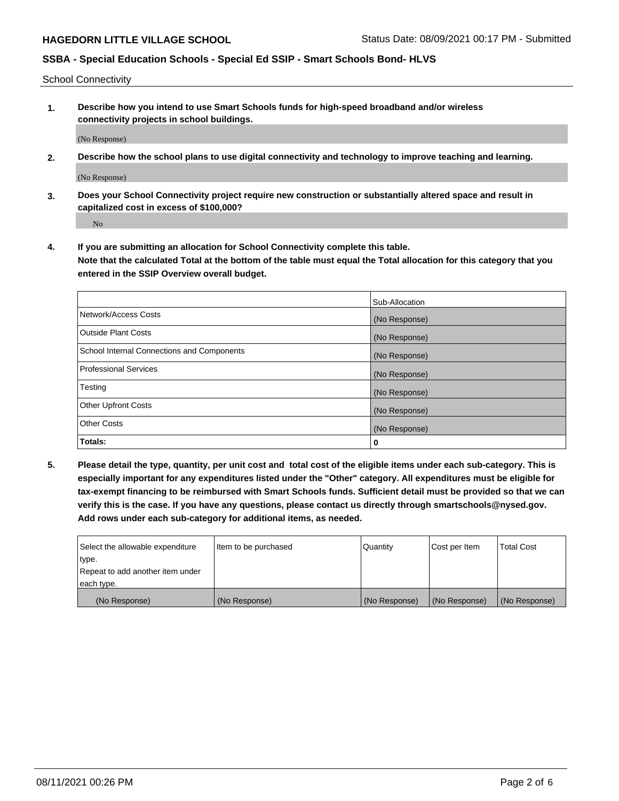School Connectivity

**1. Describe how you intend to use Smart Schools funds for high-speed broadband and/or wireless connectivity projects in school buildings.**

(No Response)

**2. Describe how the school plans to use digital connectivity and technology to improve teaching and learning.**

(No Response)

**3. Does your School Connectivity project require new construction or substantially altered space and result in capitalized cost in excess of \$100,000?**

No

**4. If you are submitting an allocation for School Connectivity complete this table. Note that the calculated Total at the bottom of the table must equal the Total allocation for this category that you entered in the SSIP Overview overall budget.** 

|                                            | Sub-Allocation |
|--------------------------------------------|----------------|
| Network/Access Costs                       | (No Response)  |
| <b>Outside Plant Costs</b>                 | (No Response)  |
| School Internal Connections and Components | (No Response)  |
| <b>Professional Services</b>               | (No Response)  |
| Testing                                    | (No Response)  |
| <b>Other Upfront Costs</b>                 | (No Response)  |
| <b>Other Costs</b>                         | (No Response)  |
| Totals:                                    | 0              |

**5. Please detail the type, quantity, per unit cost and total cost of the eligible items under each sub-category. This is especially important for any expenditures listed under the "Other" category. All expenditures must be eligible for tax-exempt financing to be reimbursed with Smart Schools funds. Sufficient detail must be provided so that we can verify this is the case. If you have any questions, please contact us directly through smartschools@nysed.gov. Add rows under each sub-category for additional items, as needed.**

| each type.<br>(No Response)      | (No Response)          | (No Response) | (No Response) | (No Response)     |
|----------------------------------|------------------------|---------------|---------------|-------------------|
|                                  |                        |               |               |                   |
| Repeat to add another item under |                        |               |               |                   |
| ∣type.                           |                        |               |               |                   |
| Select the allowable expenditure | I Item to be purchased | Quantity      | Cost per Item | <b>Total Cost</b> |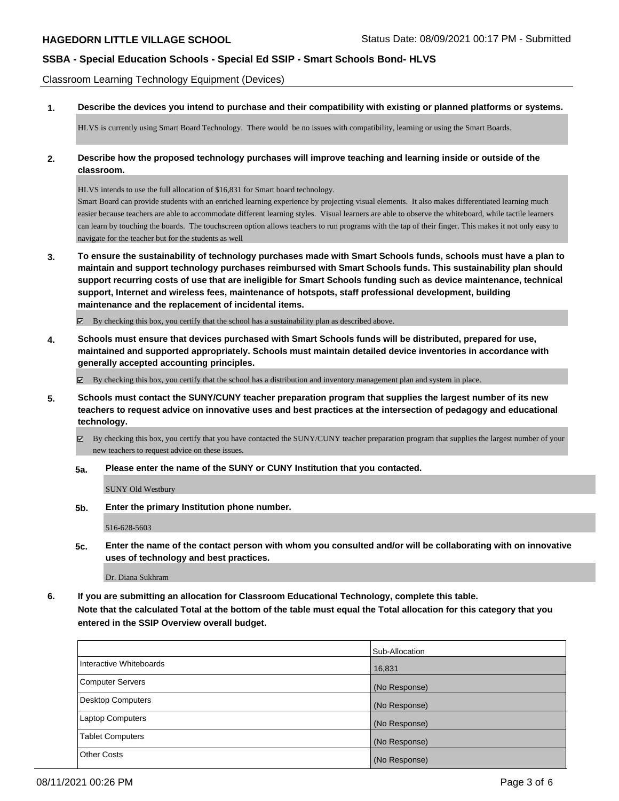Classroom Learning Technology Equipment (Devices)

**1. Describe the devices you intend to purchase and their compatibility with existing or planned platforms or systems.**

HLVS is currently using Smart Board Technology. There would be no issues with compatibility, learning or using the Smart Boards.

**2. Describe how the proposed technology purchases will improve teaching and learning inside or outside of the classroom.**

HLVS intends to use the full allocation of \$16,831 for Smart board technology.

Smart Board can provide students with an enriched learning experience by projecting visual elements. It also makes differentiated learning much easier because teachers are able to accommodate different learning styles. Visual learners are able to observe the whiteboard, while tactile learners can learn by touching the boards. The touchscreen option allows teachers to run programs with the tap of their finger. This makes it not only easy to navigate for the teacher but for the students as well

**3. To ensure the sustainability of technology purchases made with Smart Schools funds, schools must have a plan to maintain and support technology purchases reimbursed with Smart Schools funds. This sustainability plan should support recurring costs of use that are ineligible for Smart Schools funding such as device maintenance, technical support, Internet and wireless fees, maintenance of hotspots, staff professional development, building maintenance and the replacement of incidental items.**

By checking this box, you certify that the school has a sustainability plan as described above.

**4. Schools must ensure that devices purchased with Smart Schools funds will be distributed, prepared for use, maintained and supported appropriately. Schools must maintain detailed device inventories in accordance with generally accepted accounting principles.**

By checking this box, you certify that the school has a distribution and inventory management plan and system in place.

- **5. Schools must contact the SUNY/CUNY teacher preparation program that supplies the largest number of its new teachers to request advice on innovative uses and best practices at the intersection of pedagogy and educational technology.**
	- By checking this box, you certify that you have contacted the SUNY/CUNY teacher preparation program that supplies the largest number of your new teachers to request advice on these issues.
	- **5a. Please enter the name of the SUNY or CUNY Institution that you contacted.**

SUNY Old Westbury

**5b. Enter the primary Institution phone number.**

516-628-5603

**5c. Enter the name of the contact person with whom you consulted and/or will be collaborating with on innovative uses of technology and best practices.**

Dr. Diana Sukhram

**6. If you are submitting an allocation for Classroom Educational Technology, complete this table. Note that the calculated Total at the bottom of the table must equal the Total allocation for this category that you entered in the SSIP Overview overall budget.**

|                         | Sub-Allocation |
|-------------------------|----------------|
| Interactive Whiteboards | 16,831         |
| Computer Servers        | (No Response)  |
| Desktop Computers       | (No Response)  |
| Laptop Computers        | (No Response)  |
| <b>Tablet Computers</b> | (No Response)  |
| <b>Other Costs</b>      | (No Response)  |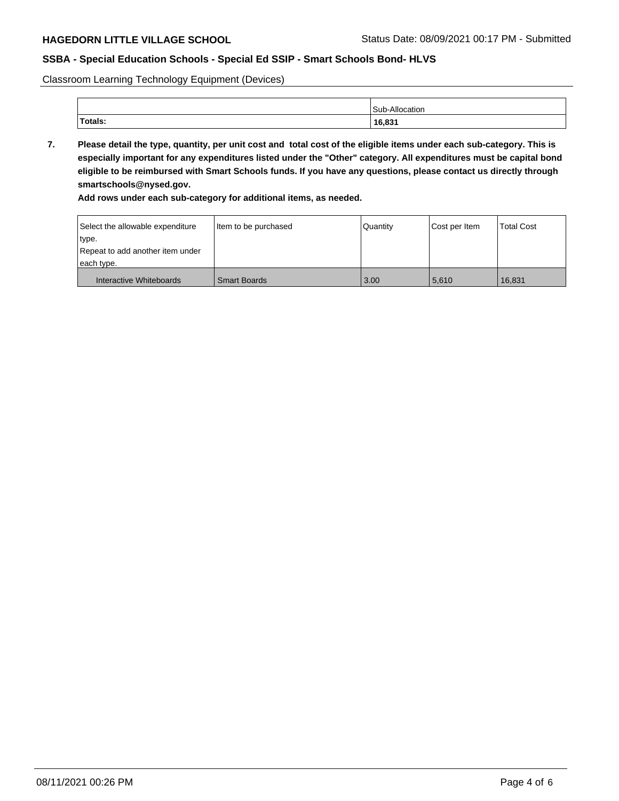Classroom Learning Technology Equipment (Devices)

|         | 'Sub-<br>эног   |
|---------|-----------------|
| Totals: | 16.831<br>10,03 |

**7. Please detail the type, quantity, per unit cost and total cost of the eligible items under each sub-category. This is especially important for any expenditures listed under the "Other" category. All expenditures must be capital bond eligible to be reimbursed with Smart Schools funds. If you have any questions, please contact us directly through smartschools@nysed.gov.**

**Add rows under each sub-category for additional items, as needed.**

| Select the allowable expenditure | Item to be purchased | Quantity | Cost per Item | <b>Total Cost</b> |
|----------------------------------|----------------------|----------|---------------|-------------------|
| ∣type.                           |                      |          |               |                   |
| Repeat to add another item under |                      |          |               |                   |
| each type.                       |                      |          |               |                   |
| Interactive Whiteboards          | <b>Smart Boards</b>  | 3.00     | 5.610         | 16.831            |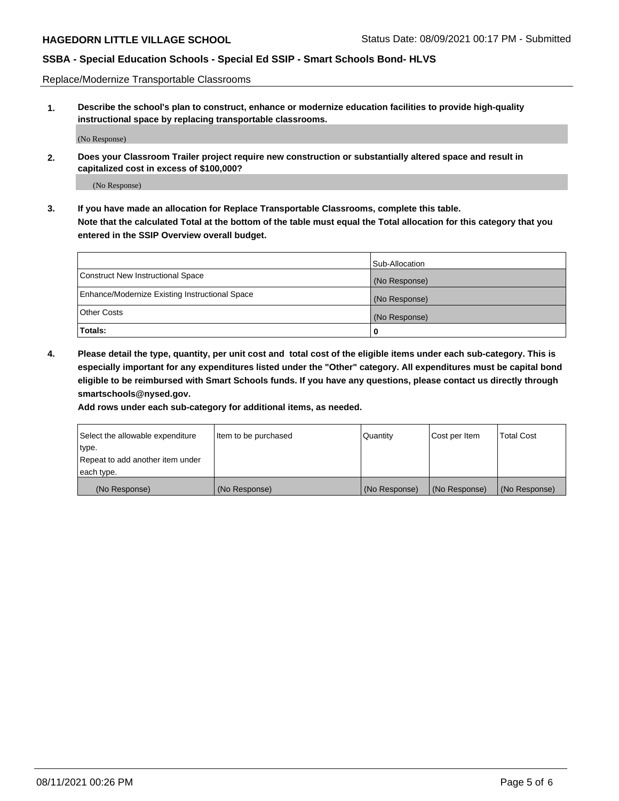Replace/Modernize Transportable Classrooms

**1. Describe the school's plan to construct, enhance or modernize education facilities to provide high-quality instructional space by replacing transportable classrooms.**

(No Response)

**2. Does your Classroom Trailer project require new construction or substantially altered space and result in capitalized cost in excess of \$100,000?**

(No Response)

**3. If you have made an allocation for Replace Transportable Classrooms, complete this table. Note that the calculated Total at the bottom of the table must equal the Total allocation for this category that you entered in the SSIP Overview overall budget.**

|                                                | Sub-Allocation |
|------------------------------------------------|----------------|
| Construct New Instructional Space              | (No Response)  |
| Enhance/Modernize Existing Instructional Space | (No Response)  |
| Other Costs                                    | (No Response)  |
| Totals:                                        | 0              |

**4. Please detail the type, quantity, per unit cost and total cost of the eligible items under each sub-category. This is especially important for any expenditures listed under the "Other" category. All expenditures must be capital bond eligible to be reimbursed with Smart Schools funds. If you have any questions, please contact us directly through smartschools@nysed.gov.**

**Add rows under each sub-category for additional items, as needed.**

| Select the allowable expenditure | lltem to be purchased | Quantity      | Cost per Item | <b>Total Cost</b> |
|----------------------------------|-----------------------|---------------|---------------|-------------------|
| type.                            |                       |               |               |                   |
| Repeat to add another item under |                       |               |               |                   |
| each type.                       |                       |               |               |                   |
| (No Response)                    | (No Response)         | (No Response) | (No Response) | (No Response)     |